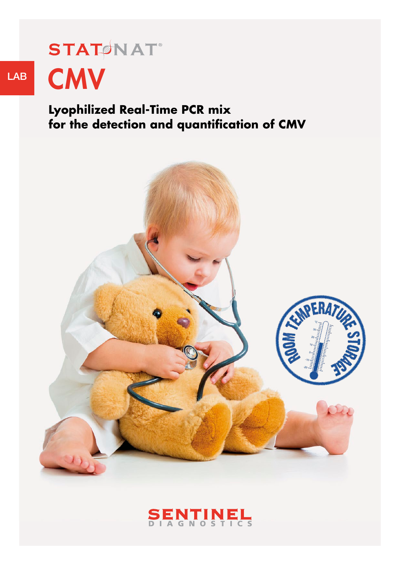# **STATONAT**® LAB CMV

**Lyophilized Real-Time PCR mix for the detection and quantification of CMV**